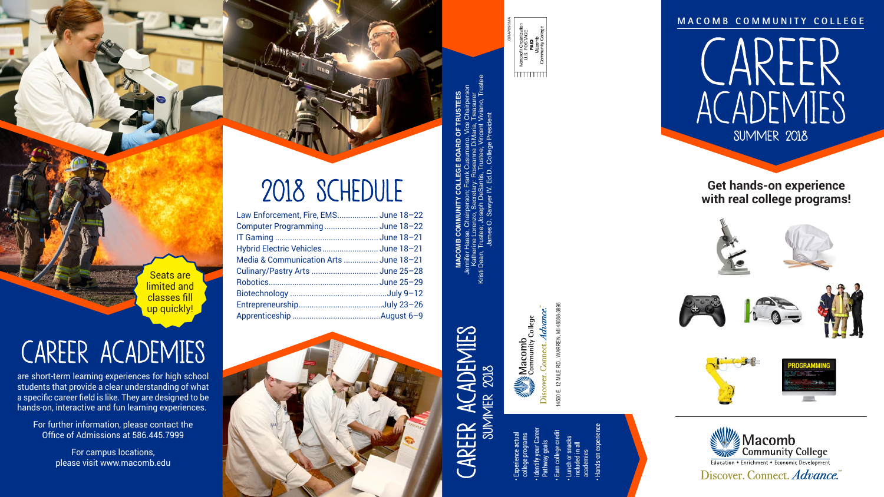14500 E. 12 MILE RD., WARREN, MI 48088-3896

4500 E. 12 MILE RD., WARREN, MI 48088-3896 Discover. Connect. Advance.

• Experience actual college programs

 $\frac{\frac{1}{2}}{\frac{1}{2}}\frac{\frac{1}{2}}{\frac{1}{2}}\frac{1}{\frac{1}{2}}$  Community College

- Identify your Career Pathway goals
	-
	- Earn college credit



Seats are limited and classes fill up quickly!

• Lunch or snacks

included in all

- academies
- Hands-on experience





**M A C O M B C O M M U N I T Y C O L L E G E** 

# 2018 SCHEDULE

| Law Enforcement, Fire, EMS June 18-22  |  |
|----------------------------------------|--|
| Computer ProgrammingJune 18-22         |  |
|                                        |  |
| Hybrid Electric Vehicles June 18-21    |  |
| Media & Communication Arts  June 18-21 |  |
|                                        |  |
|                                        |  |
|                                        |  |
|                                        |  |
|                                        |  |

# CAREER ACADEMIES

are short-term learning experiences for high school students that provide a clear understanding of what a specific career field is like. They are designed to be hands-on, interactive and fun learning experiences.

For further information, please contact the Office of Admissions at 586.445.7999

> For campus locations, please visit www.macomb.edu





Discover. Connect. Advance.

**Get hands-on experience with real college programs!**

**MACOMB COMMUNITY COLLEGE BOARD OF TRUSTEES** Jennifer Haase, Chairperson; Frank Cusumano, Vice Chairperson Katherine Lorenzo, Secretary: Roseanne DiMaria, Treasurer Kristi Dean, Trustee; Joseph DeSantis, Trustee; Vincent Viviano, Trustee James O. Sawyer IV, Ed.D., College President GRAP696MA

Nonprofit Organiz<br>U.S. POSTAGI<br>**PAID**<br>Macomb

<u>hmmml</u>